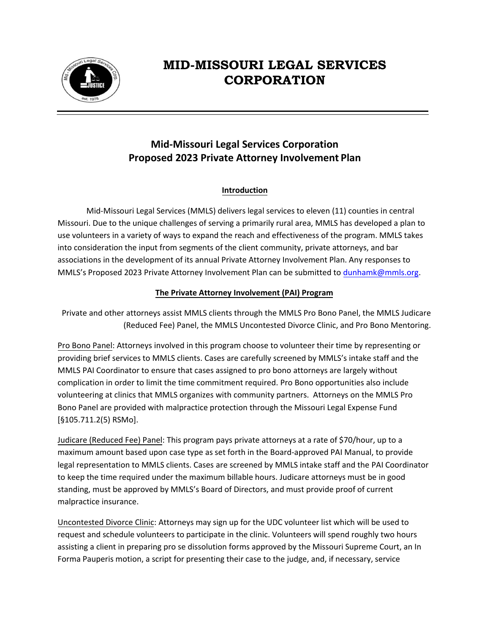

# **MID-MISSOURI LEGAL SERVICES CORPORATION**

## **Mid-Missouri Legal Services Corporation Proposed 2023 Private Attorney Involvement Plan**

## **Introduction**

Mid-Missouri Legal Services (MMLS) delivers legal services to eleven (11) counties in central Missouri. Due to the unique challenges of serving a primarily rural area, MMLS has developed a plan to use volunteers in a variety of ways to expand the reach and effectiveness of the program. MMLS takes into consideration the input from segments of the client community, private attorneys, and bar associations in the development of its annual Private Attorney Involvement Plan. Any responses to MMLS's Proposed 2023 Private Attorney Involvement Plan can be submitted to [dunhamk@mmls.org](mailto:dunhamk@mmls.org).

## **The Private Attorney Involvement (PAI) Program**

Private and other attorneys assist MMLS clients through the MMLS Pro Bono Panel, the MMLS Judicare (Reduced Fee) Panel, the MMLS Uncontested Divorce Clinic, and Pro Bono Mentoring.

Pro Bono Panel: Attorneys involved in this program choose to volunteer their time by representing or providing brief services to MMLS clients. Cases are carefully screened by MMLS's intake staff and the MMLS PAI Coordinator to ensure that cases assigned to pro bono attorneys are largely without complication in order to limit the time commitment required. Pro Bono opportunities also include volunteering at clinics that MMLS organizes with community partners. Attorneys on the MMLS Pro Bono Panel are provided with malpractice protection through the Missouri Legal Expense Fund [§105.711.2(5) RSMo].

Judicare (Reduced Fee) Panel: This program pays private attorneys at a rate of \$70/hour, up to a maximum amount based upon case type as set forth in the Board-approved PAI Manual, to provide legal representation to MMLS clients. Cases are screened by MMLS intake staff and the PAI Coordinator to keep the time required under the maximum billable hours. Judicare attorneys must be in good standing, must be approved by MMLS's Board of Directors, and must provide proof of current malpractice insurance.

Uncontested Divorce Clinic: Attorneys may sign up for the UDC volunteer list which will be used to request and schedule volunteers to participate in the clinic. Volunteers will spend roughly two hours assisting a client in preparing pro se dissolution forms approved by the Missouri Supreme Court, an In Forma Pauperis motion, a script for presenting their case to the judge, and, if necessary, service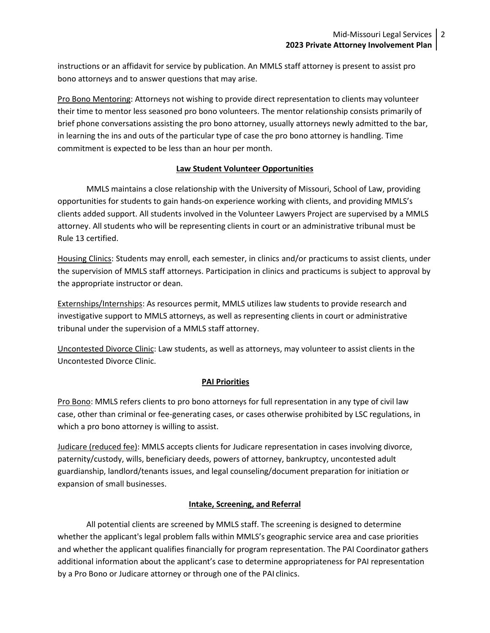instructions or an affidavit for service by publication. An MMLS staff attorney is present to assist pro bono attorneys and to answer questions that may arise.

Pro Bono Mentoring: Attorneys not wishing to provide direct representation to clients may volunteer their time to mentor less seasoned pro bono volunteers. The mentor relationship consists primarily of brief phone conversations assisting the pro bono attorney, usually attorneys newly admitted to the bar, in learning the ins and outs of the particular type of case the pro bono attorney is handling. Time commitment is expected to be less than an hour per month.

## **Law Student Volunteer Opportunities**

MMLS maintains a close relationship with the University of Missouri, School of Law, providing opportunities for students to gain hands-on experience working with clients, and providing MMLS's clients added support. All students involved in the Volunteer Lawyers Project are supervised by a MMLS attorney. All students who will be representing clients in court or an administrative tribunal must be Rule 13 certified.

Housing Clinics: Students may enroll, each semester, in clinics and/or practicums to assist clients, under the supervision of MMLS staff attorneys. Participation in clinics and practicums is subject to approval by the appropriate instructor or dean.

Externships/Internships: As resources permit, MMLS utilizes law students to provide research and investigative support to MMLS attorneys, as well as representing clients in court or administrative tribunal under the supervision of a MMLS staff attorney.

Uncontested Divorce Clinic: Law students, as well as attorneys, may volunteer to assist clients in the Uncontested Divorce Clinic.

## **PAI Priorities**

Pro Bono: MMLS refers clients to pro bono attorneys for full representation in any type of civil law case, other than criminal or fee-generating cases, or cases otherwise prohibited by LSC regulations, in which a pro bono attorney is willing to assist.

Judicare (reduced fee): MMLS accepts clients for Judicare representation in cases involving divorce, paternity/custody, wills, beneficiary deeds, powers of attorney, bankruptcy, uncontested adult guardianship, landlord/tenants issues, and legal counseling/document preparation for initiation or expansion of small businesses.

#### **Intake, Screening, and Referral**

All potential clients are screened by MMLS staff. The screening is designed to determine whether the applicant's legal problem falls within MMLS's geographic service area and case priorities and whether the applicant qualifies financially for program representation. The PAI Coordinator gathers additional information about the applicant's case to determine appropriateness for PAI representation by a Pro Bono or Judicare attorney or through one of the PAI clinics.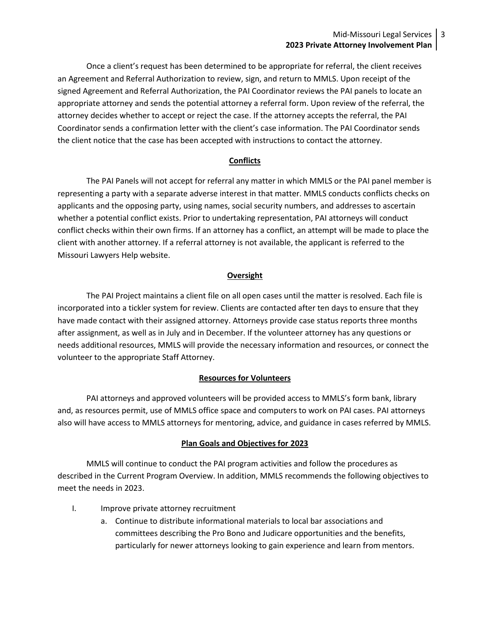### Mid-Missouri Legal Services  $\vert$  3 **2023 Private Attorney Involvement Plan**

Once a client's request has been determined to be appropriate for referral, the client receives an Agreement and Referral Authorization to review, sign, and return to MMLS. Upon receipt of the signed Agreement and Referral Authorization, the PAI Coordinator reviews the PAI panels to locate an appropriate attorney and sends the potential attorney a referral form. Upon review of the referral, the attorney decides whether to accept or reject the case. If the attorney accepts the referral, the PAI Coordinator sends a confirmation letter with the client's case information. The PAI Coordinator sends the client notice that the case has been accepted with instructions to contact the attorney.

#### **Conflicts**

The PAI Panels will not accept for referral any matter in which MMLS or the PAI panel member is representing a party with a separate adverse interest in that matter. MMLS conducts conflicts checks on applicants and the opposing party, using names, social security numbers, and addresses to ascertain whether a potential conflict exists. Prior to undertaking representation, PAI attorneys will conduct conflict checks within their own firms. If an attorney has a conflict, an attempt will be made to place the client with another attorney. If a referral attorney is not available, the applicant is referred to the Missouri Lawyers Help website.

#### **Oversight**

The PAI Project maintains a client file on all open cases until the matter is resolved. Each file is incorporated into a tickler system for review. Clients are contacted after ten days to ensure that they have made contact with their assigned attorney. Attorneys provide case status reports three months after assignment, as well as in July and in December. If the volunteer attorney has any questions or needs additional resources, MMLS will provide the necessary information and resources, or connect the volunteer to the appropriate Staff Attorney.

#### **Resources for Volunteers**

PAI attorneys and approved volunteers will be provided access to MMLS's form bank, library and, as resources permit, use of MMLS office space and computers to work on PAI cases. PAI attorneys also will have access to MMLS attorneys for mentoring, advice, and guidance in cases referred by MMLS.

#### **Plan Goals and Objectives for 2023**

MMLS will continue to conduct the PAI program activities and follow the procedures as described in the Current Program Overview. In addition, MMLS recommends the following objectives to meet the needs in 2023.

- I. Improve private attorney recruitment
	- a. Continue to distribute informational materials to local bar associations and committees describing the Pro Bono and Judicare opportunities and the benefits, particularly for newer attorneys looking to gain experience and learn from mentors.